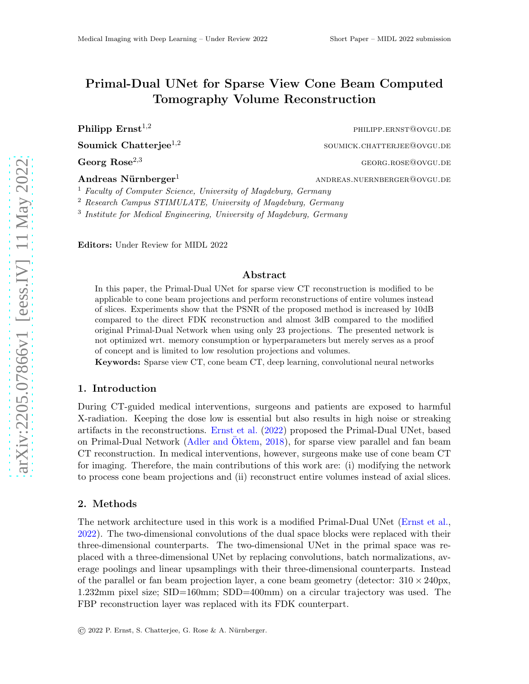# Primal-Dual UNet for Sparse View Cone Beam Computed Tomography Volume Reconstruction

Soumick Chatterjee $^{1,2}$ 

Andreas  $N\ddot{u}$ rnberger<sup>1</sup> andreas.nuernberger@ovgu.de

**Philipp Ernst**<sup>1,2</sup> philipp.ernst@ovgu.de soumick.chatterjee@ovgu.de  $\text{Georg Rose}^{2,3}$  georg.rose@ovgu.de

<sup>1</sup> Faculty of Computer Science, University of Magdeburg, Germany

<sup>2</sup> Research Campus STIMULATE, University of Magdeburg, Germany

<sup>3</sup> Institute for Medical Engineering, University of Magdeburg, Germany

Editors: Under Review for MIDL 2022

#### Abstract

In this paper, the Primal-Dual UNet for sparse view CT reconstruction is modified to be applicable to cone beam projections and perform reconstructions of entire volumes instead of slices. Experiments show that the PSNR of the proposed method is increased by 10dB compared to the direct FDK reconstruction and almost 3dB compared to the modified original Primal-Dual Network when using only 23 projections. The presented network is not optimized wrt. memory consumption or hyperparameters but merely serves as a proof of concept and is limited to low resolution projections and volumes.

Keywords: Sparse view CT, cone beam CT, deep learning, convolutional neural networks

#### 1. Introduction

During CT-guided medical interventions, surgeons and patients are exposed to harmful X-radiation. Keeping the dose low is essential but also results in high noise or streaking artifacts in the reconstructions. [Ernst et al.](#page-2-0) [\(2022\)](#page-2-0) proposed the Primal-Dual UNet, based on Primal-Dual Network [\(Adler and](#page-2-1) Oktem, [2018](#page-2-1)), for sparse view parallel and fan beam CT reconstruction. In medical interventions, however, surgeons make use of cone beam CT for imaging. Therefore, the main contributions of this work are: (i) modifying the network to process cone beam projections and (ii) reconstruct entire volumes instead of axial slices.

#### 2. Methods

The network architecture used in this work is a modified Primal-Dual UNet [\(Ernst et al.](#page-2-0), [2022\)](#page-2-0). The two-dimensional convolutions of the dual space blocks were replaced with their three-dimensional counterparts. The two-dimensional UNet in the primal space was replaced with a three-dimensional UNet by replacing convolutions, batch normalizations, average poolings and linear upsamplings with their three-dimensional counterparts. Instead of the parallel or fan beam projection layer, a cone beam geometry (detector:  $310 \times 240 \text{px}$ , 1.232mm pixel size; SID=160mm; SDD=400mm) on a circular trajectory was used. The FBP reconstruction layer was replaced with its FDK counterpart.

© 2022 P. Ernst, S. Chatterjee, G. Rose & A. N¨urnberger.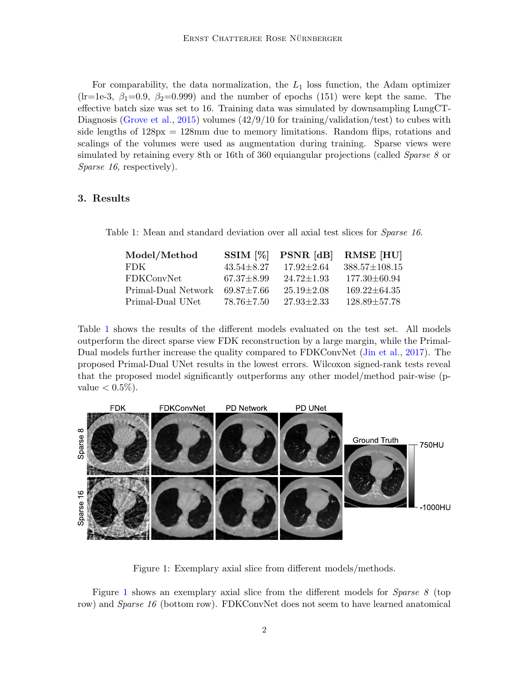For comparability, the data normalization, the  $L_1$  loss function, the Adam optimizer (lr=1e-3,  $\beta_1$ =0.9,  $\beta_2$ =0.999) and the number of epochs (151) were kept the same. The effective batch size was set to 16. Training data was simulated by downsampling LungCT-Diagnosis [\(Grove et al.,](#page-2-2) [2015](#page-2-2)) volumes  $(42/9/10$  for training/validation/test) to cubes with side lengths of 128px = 128mm due to memory limitations. Random flips, rotations and scalings of the volumes were used as augmentation during training. Sparse views were simulated by retaining every 8th or 16th of 360 equiangular projections (called *Sparse 8* or Sparse 16, respectively).

### 3. Results

Table 1: Mean and standard deviation over all axial test slices for Sparse 16.

<span id="page-1-0"></span>

| Model/Method        | $SSIM [\%]$      | PSNR [dB]        | RMSE [HU]           |
|---------------------|------------------|------------------|---------------------|
| FDK.                | $43.54 \pm 8.27$ | $17.92 \pm 2.64$ | $388.57 \pm 108.15$ |
| FDKConvNet          | $67.37 \pm 8.99$ | $24.72 \pm 1.93$ | $177.30 \pm 60.94$  |
| Primal-Dual Network | $69.87 \pm 7.66$ | $25.19 + 2.08$   | $169.22 \pm 64.35$  |
| Primal-Dual UNet    | $78.76 \pm 7.50$ | $27.93 \pm 2.33$ | $128.89 \pm 57.78$  |

Table [1](#page-1-0) shows the results of the different models evaluated on the test set. All models outperform the direct sparse view FDK reconstruction by a large margin, while the Primal-Dual models further increase the quality compared to FDKConvNet [\(Jin et al.](#page-2-3), [2017](#page-2-3)). The proposed Primal-Dual UNet results in the lowest errors. Wilcoxon signed-rank tests reveal that the proposed model significantly outperforms any other model/method pair-wise (pvalue  $< 0.5\%$ ).



<span id="page-1-1"></span>Figure 1: Exemplary axial slice from different models/methods.

Figure [1](#page-1-1) shows an exemplary axial slice from the different models for Sparse 8 (top row) and *Sparse 16* (bottom row). FDKConvNet does not seem to have learned anatomical